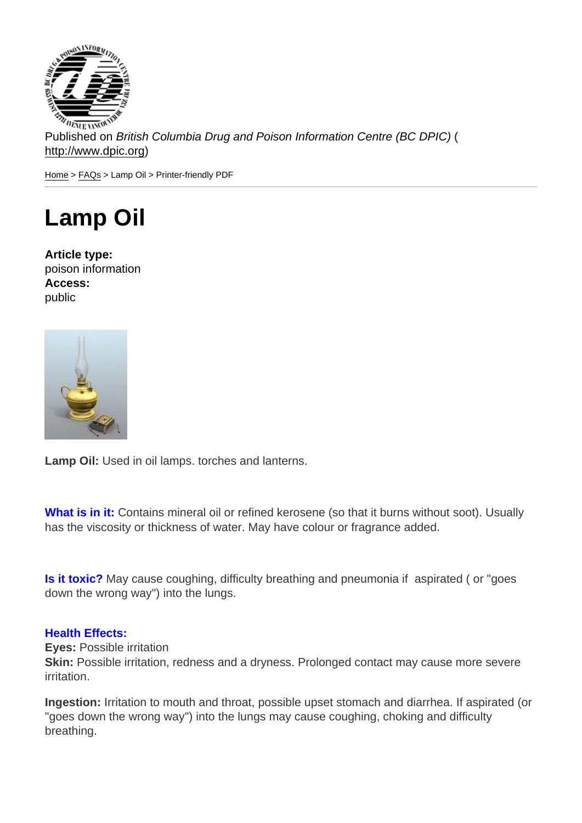Published on British Columbia Drug and Poison Information Centre (BC DPIC) ( http://www.dpic.org)

Home > FAQs > Lamp Oil > Printer-friendly PDF

## [La](http://www.dpic.org/)[mp](http://www.dpic.org/faq) Oil

Article type: poison information Access: public

Lamp Oil: Used in oil lamps. torches and lanterns.

What is in it: Contains mineral oil or refined kerosene (so that it burns without soot). Usually has the viscosity or thickness of water. May have colour or fragrance added.

Is it toxic? May cause coughing, difficulty breathing and pneumonia if aspirated ( or "goes down the wrong way") into the lungs.

## Health Effects:

Eyes: Possible irritation

Skin: Possible irritation, redness and a dryness. Prolonged contact may cause more severe irritation.

Ingestion: Irritation to mouth and throat, possible upset stomach and diarrhea. If aspirated (or "goes down the wrong way") into the lungs may cause coughing, choking and difficulty breathing.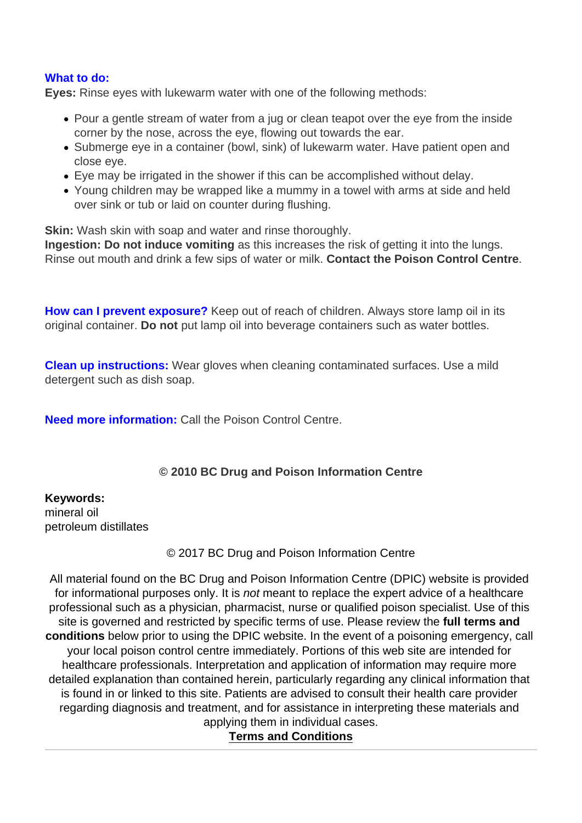## What to do:

Eyes: Rinse eyes with lukewarm water with one of the following methods:

- Pour a gentle stream of water from a jug or clean teapot over the eye from the inside corner by the nose, across the eye, flowing out towards the ear.
- Submerge eye in a container (bowl, sink) of lukewarm water. Have patient open and close eye.
- Eye may be irrigated in the shower if this can be accomplished without delay.
- Young children may be wrapped like a mummy in a towel with arms at side and held over sink or tub or laid on counter during flushing.

Skin: Wash skin with soap and water and rinse thoroughly.

Ingestion: Do not induce vomiting as this increases the risk of getting it into the lungs. Rinse out mouth and drink a few sips of water or milk. Contact the Poison Control Centre .

How can I prevent exposure? Keep out of reach of children. Always store lamp oil in its original container. Do not put lamp oil into beverage containers such as water bottles.

Clean up instructions: Wear gloves when cleaning contaminated surfaces. Use a mild detergent such as dish soap.

Need more information: Call the Poison Control Centre.

© 2010 BC Drug and Poison Information Centre

Keywords: mineral oil petroleum distillates

© 2017 BC Drug and Poison Information Centre

All material found on the BC Drug and Poison Information Centre (DPIC) website is provided for informational purposes only. It is not meant to replace the expert advice of a healthcare professional such as a physician, pharmacist, nurse or qualified poison specialist. Use of this site is governed and restricted by specific terms of use. Please review the full terms and conditions below prior to using the DPIC website. In the event of a poisoning emergency, call your local poison control centre immediately. Portions of this web site are intended for healthcare professionals. Interpretation and application of information may require more detailed explanation than contained herein, particularly regarding any clinical information that is found in or linked to this site. Patients are advised to consult their health care provider regarding diagnosis and treatment, and for assistance in interpreting these materials and applying them in individual cases.

Terms and Conditions